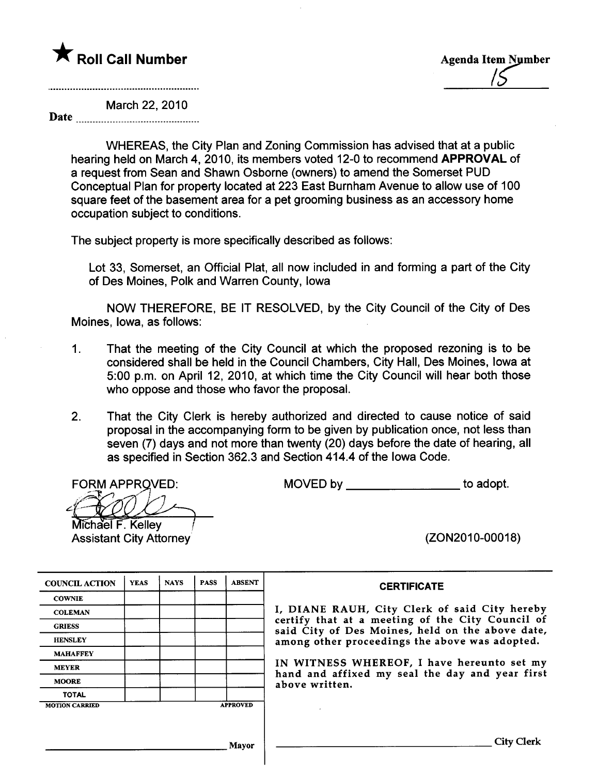

March 22, 2010

Date

WHEREAS, the City Plan and Zoning Commission has advised that at a public hearing held on March 4, 2010, its members voted 12-0 to recommend APPROVAL of a request from Sean and Shawn Osborne (owners) to amend the Somerset PUD Conceptual Plan for property located at 223 East Burnham Avenue to allow use of 100 square feet of the basement area for a pet grooming business as an accessory home occupation subject to conditions.

The subject property is more specifically described as follows:

Lot 33, Somerset, an Official Plat, all now included in and forming a part of the City of Des Moines, Polk and Warren County, Iowa

NOW THEREFORE, BE IT RESOLVED, by the City Council of the City of Des Moines, Iowa, as follows:

- 1. That the meeting of the City Council at which the proposed rezoning is to be considered shall be held in the Council Chambers, City Hall, Des Moines, Iowa at 5:00 p.m. on April 12, 2010, at which time the City Council wil hear both those who oppose and those who favor the proposal.
- 2. That the City Clerk is hereby authorized and directed to cause notice of said proposal in the accompanying form to be given by publication once, not less than seven (7) days and not more than twenty (20) days before the date of hearing, all as specified in Section 362.3 and Section 414.4 of the Iowa Code.

FORM APPROVED:<br>Michael F. Kelley

Assistant City Attorney

MOVED by \_\_\_\_\_\_\_\_\_\_\_\_\_\_\_\_\_\_\_\_\_\_\_\_\_\_\_\_\_\_\_to adopt.

(ZON2010-00018)

| <b>COUNCIL ACTION</b> | <b>YEAS</b> | <b>NAYS</b> | <b>PASS</b> | <b>ABSENT</b>   |
|-----------------------|-------------|-------------|-------------|-----------------|
| <b>COWNIE</b>         |             |             |             |                 |
| <b>COLEMAN</b>        |             |             |             |                 |
| <b>GRIESS</b>         |             |             |             |                 |
| <b>HENSLEY</b>        |             |             |             |                 |
| <b>MAHAFFEY</b>       |             |             |             |                 |
| <b>MEYER</b>          |             |             |             |                 |
| <b>MOORE</b>          |             |             |             |                 |
| <b>TOTAL</b>          |             |             |             |                 |
| <b>MOTION CARRIED</b> |             |             |             | <b>APPROVED</b> |

#### **CERTIFICATE**

I, DIANE RAUH, City Clerk of said City hereby certify that at a meeting of the City Council of said City of Des Moines, held on the above date, among other proceedings the above was adopted.

IN WITNESS WHEREOF, I have hereunto set my hand and affixed my seal the day and year first above written.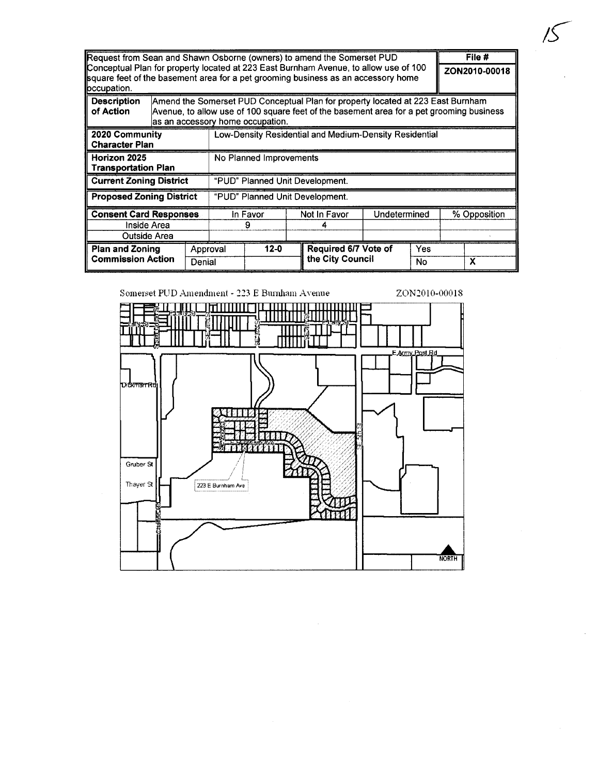| Request from Sean and Shawn Osborne (owners) to amend the Somerset PUD                                                                                                                    |                         |                                                                                                                                                                                                                 |          |          |                                 |                      |               | File #       |   |  |
|-------------------------------------------------------------------------------------------------------------------------------------------------------------------------------------------|-------------------------|-----------------------------------------------------------------------------------------------------------------------------------------------------------------------------------------------------------------|----------|----------|---------------------------------|----------------------|---------------|--------------|---|--|
| Conceptual Plan for property located at 223 East Burnham Avenue, to allow use of 100<br>square feet of the basement area for a pet grooming business as an accessory home<br>loccupation. |                         |                                                                                                                                                                                                                 |          |          |                                 |                      | ZON2010-00018 |              |   |  |
| <b>Description</b><br>of Action                                                                                                                                                           |                         | Amend the Somerset PUD Conceptual Plan for property located at 223 East Burnham<br>Avenue, to allow use of 100 square feet of the basement area for a pet grooming business<br>as an accessory home occupation. |          |          |                                 |                      |               |              |   |  |
| 2020 Community<br><b>Character Plan</b>                                                                                                                                                   |                         | Low-Density Residential and Medium-Density Residential                                                                                                                                                          |          |          |                                 |                      |               |              |   |  |
| Horizon 2025<br><b>Transportation Plan</b>                                                                                                                                                | No Planned Improvements |                                                                                                                                                                                                                 |          |          |                                 |                      |               |              |   |  |
| <b>Current Zoning District</b>                                                                                                                                                            |                         |                                                                                                                                                                                                                 |          |          | "PUD" Planned Unit Development. |                      |               |              |   |  |
| <b>Proposed Zoning District</b><br>"PUD" Planned Unit Development.                                                                                                                        |                         |                                                                                                                                                                                                                 |          |          |                                 |                      |               |              |   |  |
| <b>Consent Card Responses</b>                                                                                                                                                             |                         |                                                                                                                                                                                                                 | In Favor |          | Not In Favor                    | Undetermined         |               | % Opposition |   |  |
| Inside Area                                                                                                                                                                               |                         |                                                                                                                                                                                                                 |          |          |                                 |                      |               |              |   |  |
| Outside Area                                                                                                                                                                              |                         |                                                                                                                                                                                                                 |          |          |                                 |                      |               |              |   |  |
| <b>Plan and Zoning</b><br><b>Commission Action</b>                                                                                                                                        |                         | Approval                                                                                                                                                                                                        |          | $12 - 0$ |                                 | Required 6/7 Vote of |               | Yes          |   |  |
|                                                                                                                                                                                           | Denial                  |                                                                                                                                                                                                                 |          |          |                                 | the City Council     |               | No.          | x |  |

Somerset PUD Amendment - 223 E Burnham Avenue ZON2010-00018

¡r-'

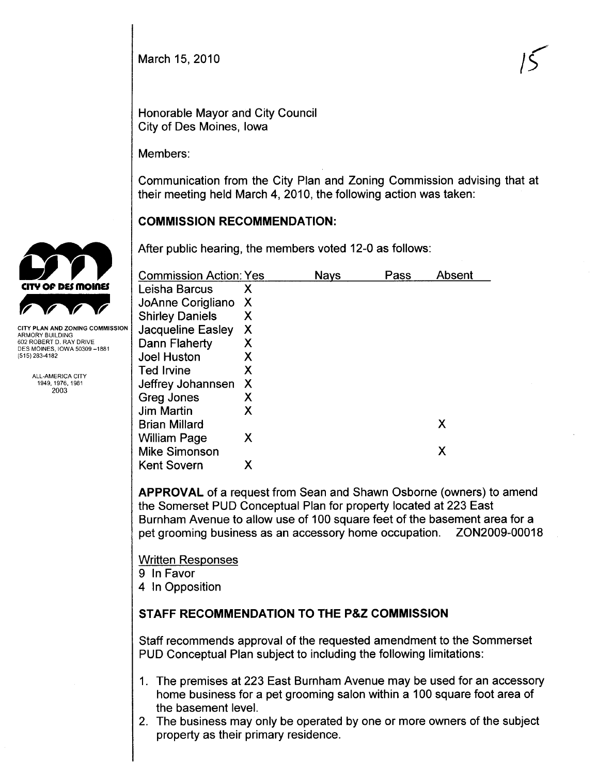March 15, 2010

",  $\vert$ 

Honorable Mayor and City Council City of Des Moines, Iowa

Members:

Communication from the City Plan and Zoning Commission advising that at their meeting held March 4, 2010, the following action was taken:

## COMMISSION RECOMMENDATION:

After public hearing, the members voted 12-0 as follows:

| <b>Commission Action: Yes</b> |   | <b>Nays</b> | Pass | Absent |
|-------------------------------|---|-------------|------|--------|
| Leisha Barcus                 | Х |             |      |        |
| JoAnne Corigliano             | X |             |      |        |
| <b>Shirley Daniels</b>        | Х |             |      |        |
| Jacqueline Easley             | X |             |      |        |
| Dann Flaherty                 | Х |             |      |        |
| Joel Huston                   | X |             |      |        |
| <b>Ted Irvine</b>             | Х |             |      |        |
| Jeffrey Johannsen             | X |             |      |        |
| Greg Jones                    | Х |             |      |        |
| <b>Jim Martin</b>             | Χ |             |      |        |
| <b>Brian Millard</b>          |   |             |      | Χ      |
| <b>William Page</b>           | Χ |             |      |        |
| <b>Mike Simonson</b>          |   |             |      | X      |
| <b>Kent Sovern</b>            | Х |             |      |        |

APPROVAL of a request from Sean and Shawn Osborne (owners) to amend the Somerset PUD Conceptual Plan for property located at 223 East Burnham Avenue to allow use of 100 square feet of the basement area for a pet grooming business as an accessory home occupation. ZON2009-00018

Written Responses

- 9 In Favor
- 4 In Opposition

# STAFF RECOMMENDATION TO THE P&Z COMMISSION

Staff recommends approval of the requested amendment to the Sommerset PUD Conceptual Plan subject to including the following limitations:

- 1. The premises at 223 East Burnham Avenue may be used for an accessory home business for a pet grooming salon within a 100 square foot area of the basement level.
- 2. The business may only be operated by one or more owners of the subject property as their primary residence.



CITY PLAN AND ZONING COMMISSION ARMORY BUILDING 602 ROBERT D. RAY DRIVE DES MOINES, IOWA 50309-1881 (515) 283-4182

> ALL,AMERICA CITY 1949,1976,1981 2003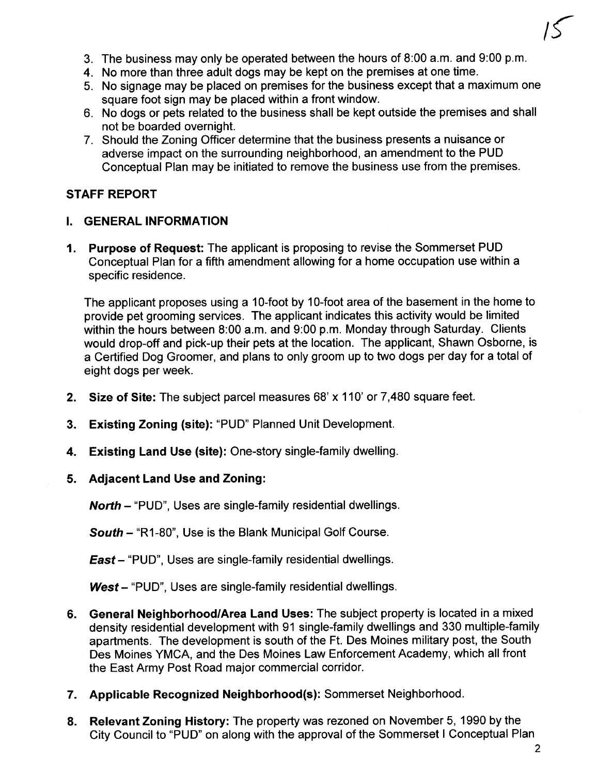

- 3. The business may only be operated between the hours of 8:00 a.m. and 9:00 p.m.
- 4. No more than three adult dogs may be kept on the premises at one time.
- 5. No signage may be placed on premises for the business except that a maximum one square foot sign may be placed within a front window.
- 6. No dogs or pets related to the business shall be kept outside the premises and shall not be boarded overnight.
- 7. Should the Zoning Officer determine that the business presents a nuisance or adverse impact on the surrounding neighborhood, an amendment to the PUD Conceptual Plan may be initiated to remove the business use from the premises.

#### STAFF REPORT

#### I. GENERAL INFORMATION

1. Purpose of Request: The applicant is proposing to revise the Sommerset PUD Conceptual Plan for a fifth amendment allowing for a home occupation use within a specific residence.

The applicant proposes using a 10-foot by 10-foot area of the basement in the home to provide pet grooming services. The applicant indicates this activity would be limited within the hours between 8:00 a.m. and 9:00 p.m. Monday through Saturday. Clients would drop-off and pick-up their pets at the location. The applicant, Shawn Osborne, is a Certified Dog Groomer, and plans to only groom up to two dogs per day for a total of eight dogs per week.

- 2. Size of Site: The subject parcel measures 68' x 110' or 7,480 square feet.
- 3. Existing Zoning (site): "PUD" Planned Unit Development.
- 4. Existing Land Use (site): One-story single-family dwelling.
- 5. Adjacent Land Use and Zoning:

North - "PUD", Uses are single-family residential dwellings.

South - "R1-80", Use is the Blank Municipal Golf Course.

**East** – "PUD", Uses are single-family residential dwellings.

West - "PUD", Uses are single-family residential dwellings.

- 6. General Neighborhood/Area Land Uses: The subject property is located in a mixed density residential development with 91 single-family dwellings and 330 multiple-family apartments. The development is south of the Ft. Des Moines military post, the South Des Moines YMCA, and the Des Moines Law Enforcement Academy, which all front the East Army Post Road major commercial corridor.
- 7. Applicable Recognized Neighborhood(s): Sommerset Neighborhood.
- 8. Relevant Zoning History: The property was rezoned on November 5, 1990 by the City Council to "PUD" on along with the approval of the Sommerset i Conceptual Plan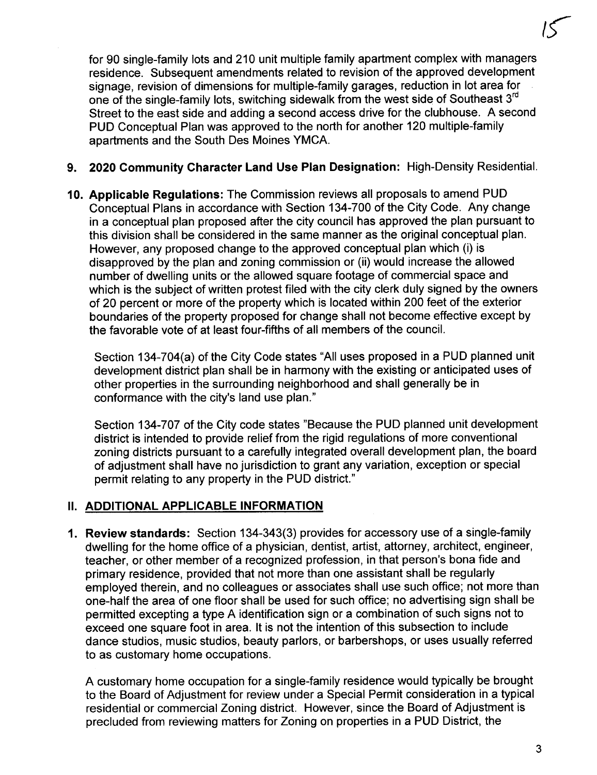for 90 single-family lots and 210 unit multiple family apartment complex with managers residence. Subsequent amendments related to revision of the approved development signage, revision of dimensions for multiple-family garages, reduction in lot area for one of the single-family lots, switching sidewalk from the west side of Southeast 3<sup>rd</sup> Street to the east side and adding a second access drive for the clubhouse. A second PUD Conceptual Plan was approved to the north for another 120 multiple-family apartments and the South Des Moines YMCA.

### 9. 2020 Community Character Land Use Plan Designation: High-Density Residential.

10. Applicable Regulations: The Commission reviews all proposals to amend PUD Conceptual Plans in accordance with Section 134-700 of the City Code. Any change in a conceptual plan proposed after the city council has approved the plan pursuant to this division shall be considered in the same manner as the original conceptual plan. However, any proposed change to the approved conceptual plan which (i) is disapproved by the plan and zoning commission or (ii) would increase the allowed number of dwelling units or the allowed square footage of commercial space and which is the subject of written protest filed with the city clerk duly signed by the owners of 20 percent or more of the property which is located within 200 feet of the exterior boundaries of the property proposed for change shall not become effective except by the favorable vote of at least four-fifths of all members of the counciL.

Section 134-704(a) of the City Code states "All uses proposed in a PUD planned unit development district plan shall be in harmony with the existing or anticipated uses of other properties in the surrounding neighborhood and shall generally be in conformance with the city's land use plan."

Section 134-707 of the City code states "Because the PUD planned unit development district is intended to provide relief from the rigid regulations of more conventional zoning districts pursuant to a carefully integrated overall development plan, the board of adjustment shall have no jurisdiction to grant any variation, exception or special permit relating to any property in the PUD district."

#### II. ADDITIONAL APPLICABLE INFORMATION

1. Review standards: Section 134-343(3) provides for accessory use of a single-family dwelling for the home office of a physician, dentist, artist, attorney, architect, engineer, teacher, or other member of a recognized profession, in that person's bona fide and primary residence, provided that not more than one assistant shall be regularly employed therein, and no colleagues or associates shall use such office; not more than one-half the area of one floor shall be used for such office; no advertising sign shall be permitted excepting a type A identification sign or a combination of such signs not to exceed one square foot in area. It is not the intention of this subsection to include dance studios, music studios, beauty parlors, or barbershops, or uses usually referred to as customary home occupations.

A customary home occupation for a single-family residence would typically be brought to the Board of Adjustment for review under a Special Permit consideration in a typical residential or commercial Zoning district. However, since the Board of Adjustment is precluded from reviewing matters for Zoning on properties in a PUD District, the

 $15$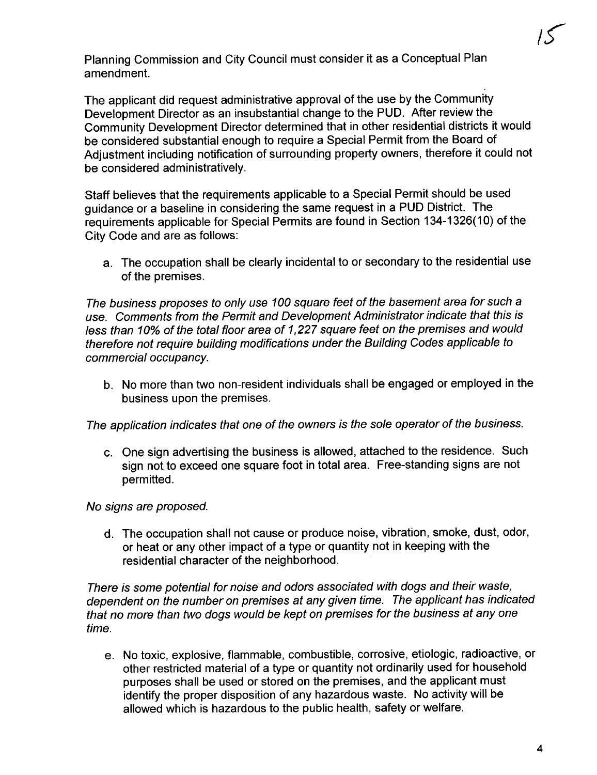Planning Commission and City Council must consider it as a Conceptual Plan amendment.

The applicant did request administrative approval of the use by the Community Development Director as an insubstantial change to the PUD. After review the Community Development Director determined that in other residential districts it would be considered substantial enough to require a Special Permit from the Board of Adjustment including notification of surrounding property owners, therefore it could not be considered administratively.

Staff believes that the requirements applicable to a Special Permit should be used guidance or a baseline in considering the same request in a PUD District. The requirements applicable for Special Permits are found in Section 134-1326(10) of the City Code and are as follows:

a. The occupation shall be clearly incidental to or secondary to the residential use of the premises.

The business proposes to only use 100 square feet of the basement area for such a use. Comments from the Permit and Development Administrator indicate that this is less than 10% of the total floor area of 1,227 square feet on the premises and would therefore not require building modifications under the Building Codes applicable to commercial occupancy.

b. No more than two non-resident individuals shall be engaged or employed in the business upon the premises.

The application indicates that one of the owners is the sole operator of the business.

c. One sign advertising the business is allowed, attached to the residence. Such sign not to exceed one square foot in total area. Free-standing signs are not permitted.

#### No signs are proposed.

d. The occupation shall not cause or produce noise, vibration, smoke, dust, odor, or heat or any other impact of a type or quantity not in keeping with the residential character of the neighborhood.

There is some potential for noise and odors associated with dogs and their waste, dependent on the number on premises at any given time. The applicant has indicated that no more than two dogs would be kept on premises for the business at anyone time.

e. No toxic, explosive, flammable, combustible, corrosive, etiologic, radioactive, or other restricted material of a type or quantity not ordinarily used for household purposes shall be used or stored on the premises, and the applicant must identify the proper disposition of any hazardous waste. No activity will be allowed which is hazardous to the public health, safety or welfare.

1S-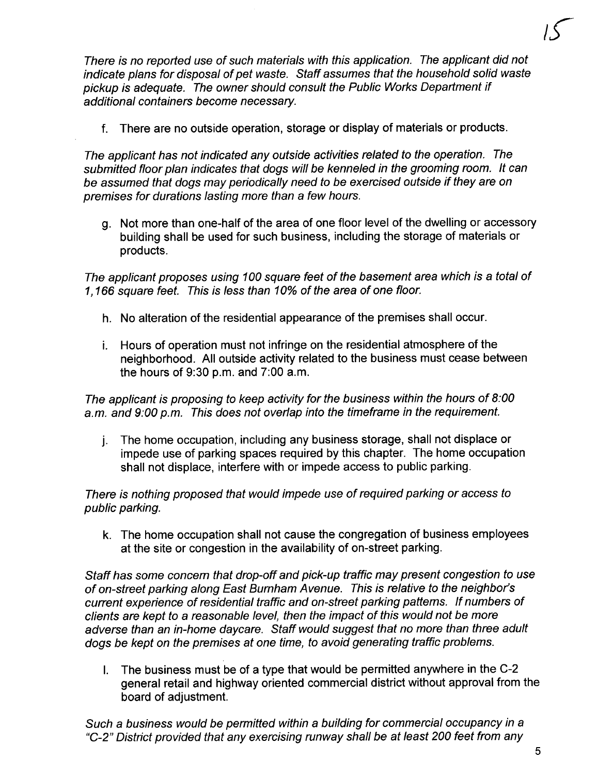There is no reported use of such materials with this application. The applicant did not indicate plans for disposal of pet waste. Staff assumes that the household solid waste pickup is adequate. The owner should consult the Public Works Department if additional containers become necessary.

f. There are no outside operation, storage or display of materials or products.

The applicant has not indicated any outside activities related to the operation. The submitted floor plan indicates that dogs will be kenneled in the grooming room. It can be assumed that dogs may periodically need to be exercised outside if they are on premises for durations lasting more than a few hours.

g. Not more than one-half of the area of one floor level of the dwelling or accessory building shall be used for such business, including the storage of materials or products.

The applicant proposes using 100 square feet of the basement area which is a total of 1, 166 square feet. This is less than 10% of the area of one floor.

- h. No alteration of the residential appearance of the premises shall occur.
- i. Hours of operation must not infringe on the residential atmosphere of the neighborhood. All outside activity related to the business must cease between the hours of 9:30 p.m. and 7:00 a.m.

The applicant is proposing to keep activity for the business within the hours of 8:00 a.m. and 9:00 p.m. This does not overlap into the timeframe in the requirement.

j. The home occupation, including any business storage, shall not displace or impede use of parking spaces required by this chapter. The home occupation shall not displace, interfere with or impede access to public parking.

There is nothing proposed that would impede use of required parking or access to public parking.

k. The home occupation shall not cause the congregation of business employees at the site or congestion in the availability of on-street parking.

Staff has some concern that drop-off and pick-up traffic may present congestion to use of on-street parking along East Burnham Avenue. This is relative to the neighbor's current experience of residential traffic and on-street parking patterns. If numbers of clients are kept to a reasonable level, then the impact of this would not be more adverse than an in-home daycare. Staff would suggest that no more than three adult dogs be kept on the premises at one time, to avoid generating traffic problems.

i. The business must be of a type that would be permitted anywhere in the C-2 general retail and highway oriented commercial district without approval from the board of adjustment.

Such a business would be permited within a building for commercial occupancy in a "C-2" District provided that any exercising runway shall be at least 200 feet from any

 $15-$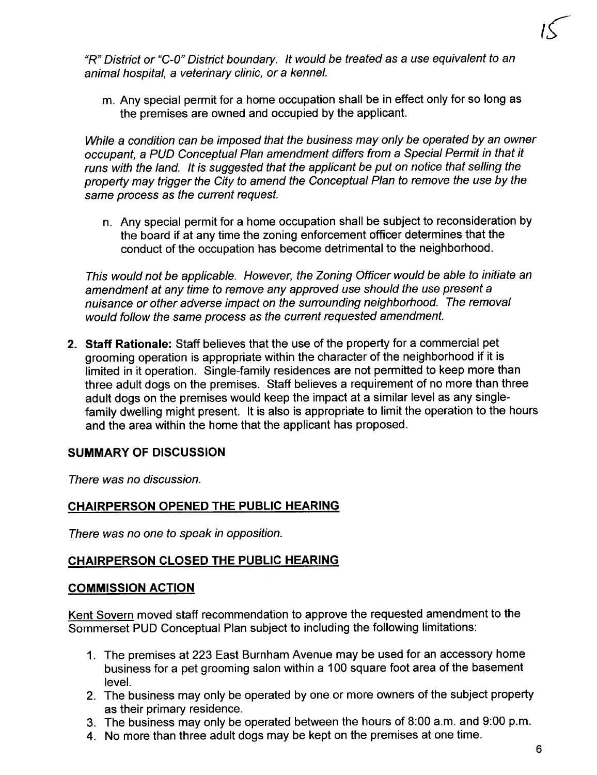

"R" District or "C-O" District boundary. It would be treated as a use equivalent to an animal hospital, a veterinary clinic, or a kenneL.

m. Any special permit for a home occupation shall be in effect only for so long as the premises are owned and occupied by the applicant.

While a condition can be imposed that the business may only be operated by an owner occupant, a PUD Conceptual Plan amendment differs from a Special Permit in that it runs with the land. It is suggested that the applicant be put on notice that selling the property may trigger the City to amend the Conceptual Plan to remove the use by the same process as the current request.

n. Any special permit for a home occupation shall be subject to reconsideration by the board if at any time the zoning enforcement officer determines that the conduct of the occupation has become detrimental to the neighborhood.

This would not be applicable. However, the Zoning Officer would be able to initiate an amendment at any time to remove any approved use should the use present a nuisance or other adverse impact on the surrounding neighborhood. The removal would follow the same process as the current requested amendment.

2. Staff Rationale: Staff believes that the use of the property for a commercial pet grooming operation is appropriate within the character of the neighborhood if it is limited in it operation. Single-family residences are not permitted to keep more than three adult dogs on the premises. Staff believes a requirement of no more than three adult dogs on the premises would keep the impact at a similar level as any singlefamily dwelling might present. It is also is appropriate to limit the operation to the hours and the area within the home that the applicant has proposed.

#### SUMMARY OF DISCUSSION

There was no discussion.

#### CHAIRPERSON OPENED THE PUBLIC HEARING

There was no one to speak in opposition.

#### CHAIRPERSON CLOSED THE PUBLIC HEARING

#### COMMISSION ACTION

Kent Sovern moved staff recommendation to approve the requested amendment to the Sommerset PUD Conceptual Plan subject to including the following limitations:

- 1. The premises at 223 East Burnham Avenue may be used for an accessory home business for a pet grooming salon within a 100 square foot area of the basement leveL.
- 2. The business may only be operated by one or more owners of the subject property as their primary residence.
- 3. The business may only be operated between the hours of 8:00 a.m. and 9:00 p.m.
- 4. No more than three adult dogs may be kept on the premises at one time.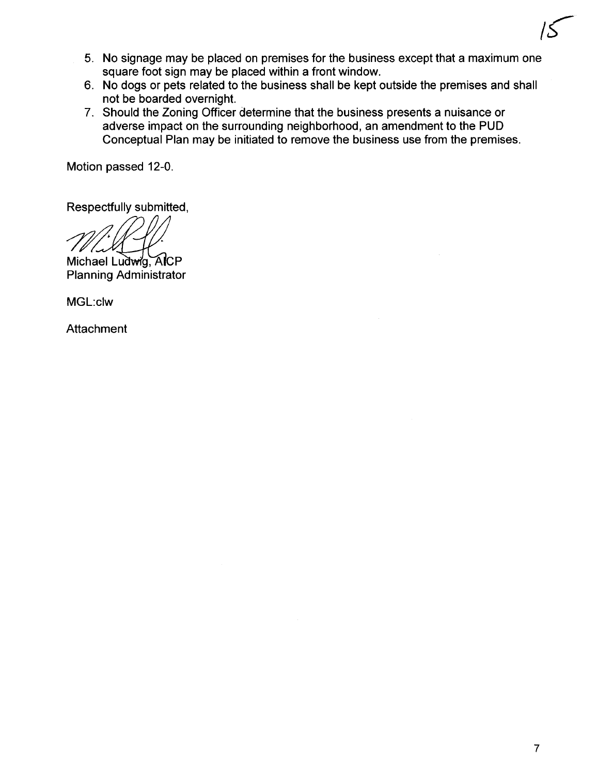- 5. No signage may be placed on premises for the business except that a maximum one square foot sign may be placed within a front window.
- 6. No dogs or pets related to the business shall be kept outside the premises and shall not be boarded overnight.
- 7. Should the Zoning Officer determine that the business presents a nuisance or adverse impact on the surrounding neighborhood, an amendment to the PUD Conceptual Plan may be initiated to remove the business use from the premises.

Motion passed 12-0.

Respectfully submitted,

Michael Ludwig, AICP Planning Administrator

MGL:c1w

**Attachment** 

 $15$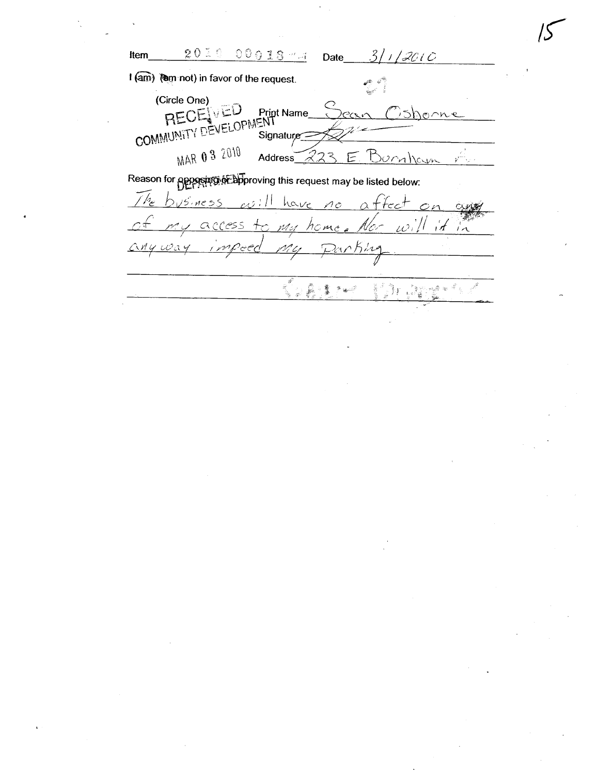2010 00018 44  $3/1/2010$ Item Date I (am) (am not) in favor of the request. (Circle One) HEUEWED Print Name 35honne  $P^{\alpha}$ MAR 0 3 2010 Burnham Address  $22$  $\prec$  $\mathcal{F}$  $y^{-1}$ Reason for apposing of abproving this request may be listed below:  $\int h$  $\int$ fect  $5.0055$ الزده have  $\circ$ n  $\overline{0}$  $\triangle$  $cx$ access  $\frac{1}{\tau}$  $\mu$ <sup>2</sup>  $id$   $\approx$ v. 1 e.l.

home

ើវិរ ជុំ៖

 $\frac{\partial}{\partial x^2}$  $\overline{\mathbf{q}}_i$ 

 $\vec{p}$ 

i<br>B

Å - 薄

್ ಇಂ

 $\omega$ a

∠`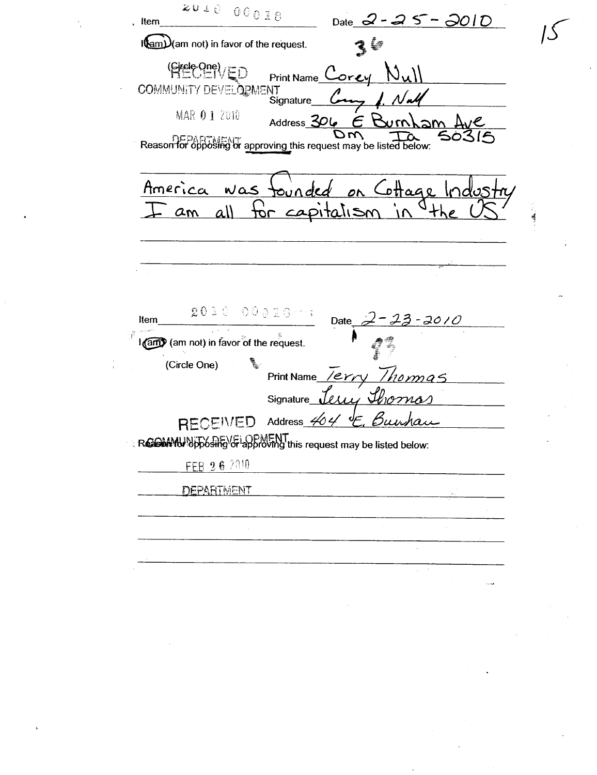$20000000$ Date 2 - 25 - 2010 Item I(am) (am not) in favor of the request.  $36$ (Sirele One) / ED  $N_{\cdot}$ Print Name<sup>1</sup> COMMUNITY DEVELOPMENT MAR 01 2010 Address 306  $\in$   $\kappa$  $\gamma$  $\sim$ **Reason for opposing or approving this request may be listed below:** America ottage  $WAS$ <u>tor</u>  $\alpha$ ll am ה†תם  $2030$  $00010$ Item Date  $-2010$ I (am) (am not) in favor of the request. ٩ (Circle One) Print Name /erry Thomas Signature  $\overline{\nu}$  The **RECEIVED Address** Buy **Resolution** opposite VG approving this request may be listed below: FEB 26 2010 **DEPARTMENT**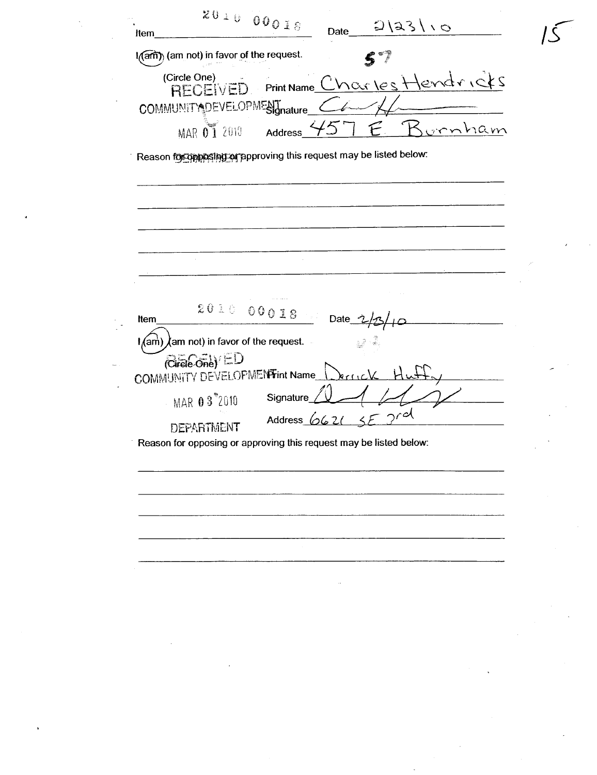Item  $201000018$  Date  $2|33|\cdot0$  $\sqrt{2}$ I(am) (am not) in favor of the request.  $(\text{Circle One})$   $\text{Point Name}$   $\bigcap_{k \in \mathbb{N}} \bigcap_{k \in \mathbb{N}} \bigcap_{k \in \mathbb{N}} \bigcap_{k \in \mathbb{N}} \bigcap_{k \in \mathbb{N}} \bigcap_{k \in \mathbb{N}} \bigcap_{k \in \mathbb{N}} \bigcap_{k \in \mathbb{N}} \bigcap_{k \in \mathbb{N}} \bigcap_{k \in \mathbb{N}} \bigcap_{k \in \mathbb{N}} \bigcap_{k \in \mathbb{N}} \bigcap_{k \in \mathbb{N}} \bigcap_{k \in \mathbb{N}} \bigcap_{k \in \mathbb{N}} \bigcap_{k \in$  $\text{RECEIVED}$  Print Name  $\text{CVICA}$  (e s. 1 for all  $\text{C}$ COMMUNITY DEVELOPMENT nature MAR  $\overline{01}$  2010 Address  $\frac{457}{5}$   $\overline{E}$ . Burnham Reason for opposing approving this request may be listed below:  $\begin{picture}(180,10) \put(0,0){\vector(1,0){18}} \put(10,0){\vector(1,0){18}} \put(10,0){\vector(1,0){18}} \put(10,0){\vector(1,0){18}} \put(10,0){\vector(1,0){18}} \put(10,0){\vector(1,0){18}} \put(10,0){\vector(1,0){18}} \put(10,0){\vector(1,0){18}} \put(10,0){\vector(1,0){18}} \put(10,0){\vector(1,0){18}} \put(10,0){\vector(1,0){18}} \put(10,0){\vector($  $\frac{1}{\text{tan}}\lambda$ am not) in favor of the request.  $(Grefo<sub>ne</sub>)$ <sup>ED</sup> COMMUNITY DEVELOPMENT int Name MAR  $03^{\degree}2010$  Signature  $11$ Address  $\mathcal{O}$ DEPARTMENT Reason for opposing or approving this request may be listed below: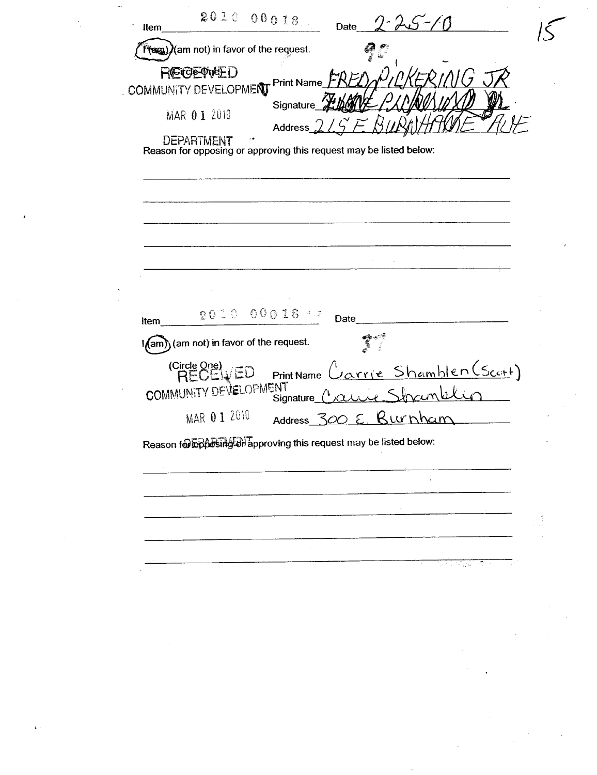00018  $2010$ Date Item 1 (sm) (am not) in favor of the request. **REIGEPWEED** COMMUNITY DEVELOPMENT Print Name Signature MAR 01 2010 Address **DEPARTMENT** Reason for opposing or approving this request may be listed below:  $2010$ 00018 % Date Item In (am) (am not) in favor of the request. ł (Circle One)<br>RECEIVED varrie Shamblen (Scott) Print Name COMMUNITY DEVELOPMENT Signature MAR 01 2010 Burnham **Address** Ε. 500 Reason for posting of approving this request may be listed below: i.<br>San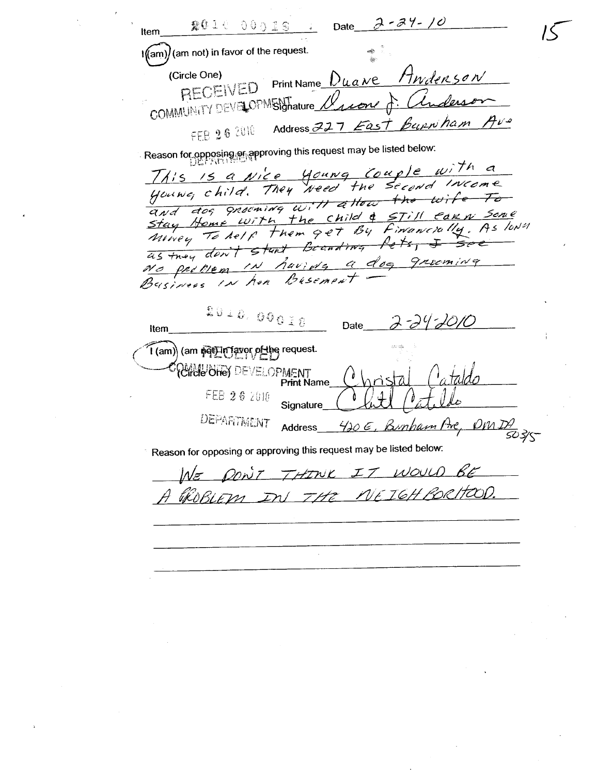$2 - 34 - 10$ **2010 DODIS** Date Item I(am) (am not) in favor of the request. Print Name Duane Awdenson (Circle One) RECEIVED COMMUNITY DEVELOPMENTature Burnham Ave Address 227 East FEB 26 2010 ି Reason fo<u>r opposing କ</u>ର୍ approving this request may be listed below: This is a Nice young Couple with a<br>young child. They weed the second Income and dog grouning will attow the wife Stay Home with the Child & STill Care Some<br>Movey To helf them get By Financially, As lowed No problem in havida a dog grooming<br>Business in her Busement Businees 2010.000IB Date Item 1 (am) (am poll n favor of the request. CHOLOHO DEVELOPMENT **Print Name** FEB 26 2010 Signature DEPARTMENT Bunham Are,  $\rho_{M,D}$ Address <u>420 E , </u> 503/5-Reason for opposing or approving this request may be listed below: PONT THINK IT WOULD BE  $M_{\tau}$ GROBLEM IN THE NEIGHBORHOOD.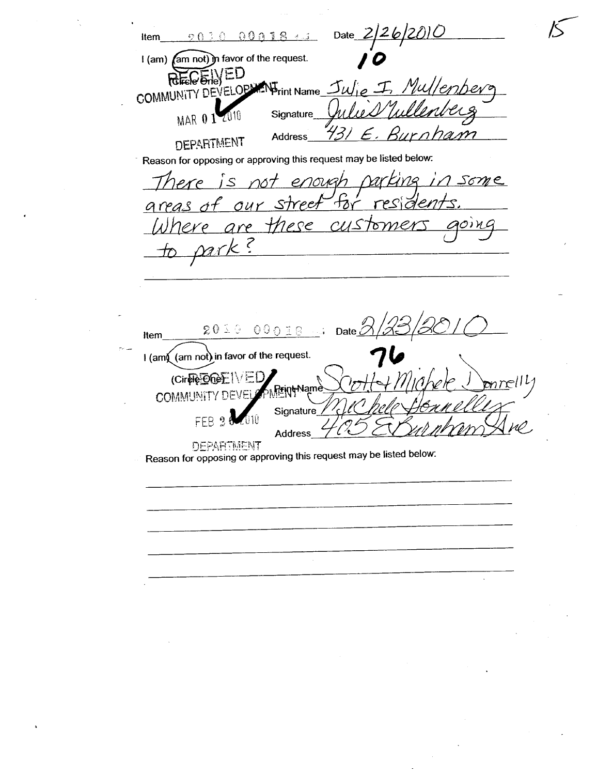Date  $2/26/2010$ Item  $\odot$   $\odot$   $\ddot{\odot}$  $00018 + 1$ I (am) (am not) in favor of the request. REGENED COMMUNITY DEVELOPMENT Name Mullemhera  $\mathcal{I}$ MAR 0 1 2010 Signature rona **Address DEPARTMENT** Reason for opposing or approving this request may be listed below: rarking some There is not enough areas of our street tar  $\bar{c}$ lere are these customer aoing て mrk  $\zeta$  $20100018...$  Date Item I (am) (am not) in favor of the request. (Cirele Offer 1)  $\sim$  1  $r||l|$ <del>}r</del>in<del>t</del>Namè **COMMUNITY** Signature FEB Address **DEPARTMENT** Reason for opposing or approving this request may be listed below: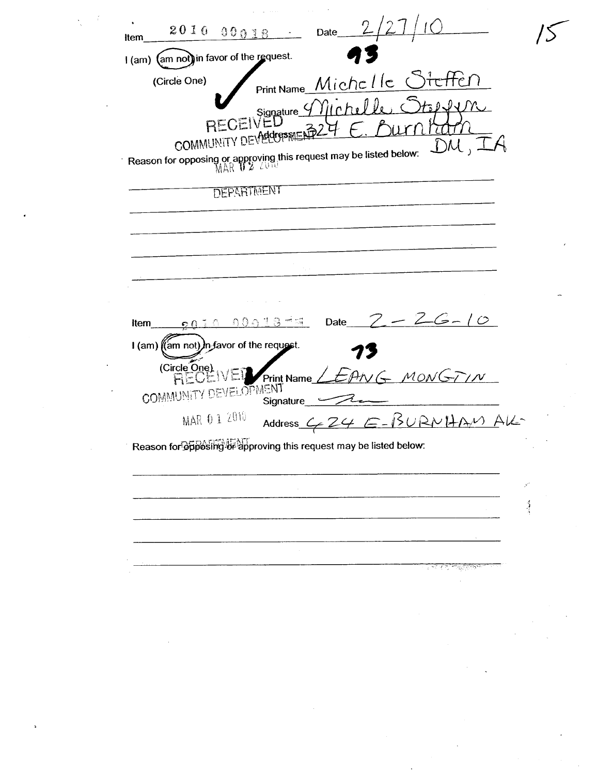$2010$  $00018$ Date Item I (am) (am not) in favor of the request. Print Name Michelle Steffen (Circle One) RECEIVED<br>RECEIVED  $\eta$ ich. $\theta$   $\theta$ COMMUNITY DEVERGES RIEL  $\mathcal{A}$  $DM,$ Reason for opposing or approving this request may be listed below:<br>MAR 10 2 2010 **DEPARTMENT**  $-26-10$ Date  $0.0.013$  mm Item  $\Omega$ I (am) ((am not)) in favor of the request. (Circle One) **RECEIVEI** VG MONGTIN Print Name COMMUNITY DEVELOPMENT Signature MAR 0 1 2010 Address C 24 E-BURNHAM AK Reason for of prosing of approving this request may be listed below.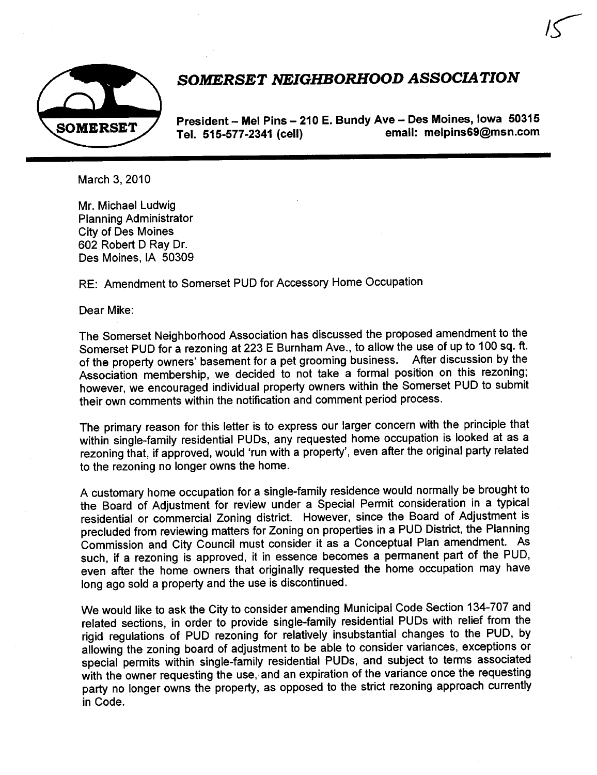

# SOMERSET NEIGHBORHOOD ASSOCIATION

 $15$ 

President - Mel Pins - 210 E. Bundy Ave - Des Moines, Iowa 50315<br>Tel 515-577-2341 (cell) email: melpins69@msn.com Tel. 515-577-2341 (cell)

March 3, 2010

Mr. Michael Ludwig Planning Administrator City of Des Moines 602 Robert D Ray Dr. Des Moines, IA 50309

RE: Amendment to Somerset PUD for Accessory Home Occupation

Dear Mike:

The Somerset Neighborhood Association has discussed the proposed amendment to the Somerset PUD for a rezoning at 223 E Burnham Ave., to allow the use of up to 100 sq. ft. of the property owners' basement for a pet grooming business. After discussion by the Association membership, we decided to not take a formal position on this rezoning; however, we encouraged individual property owners within the Somerset PUD to submit their own comments within the notification and comment period process.

The primary reason for this letter is to express our larger concern with the principle that within single-family residential PUDs, any requested home occupation is looked at as a rezoning that, if approved, would 'run with a property', even after the original party related to the rezoning no longer owns the home.

A customary home occupation for a single-family residence would normally be brought to the Board of Adjustment for review under a Special Permit consideration in a typical residential or commercial Zoning district. However, since the Board of Adjustment is precluded from reviewing matters for Zoning on properties in a PUD District, the Planning Commission and City Council must consider it as a Conceptual Plan amendment. As such, if a rezoning is approved, it in essence becomes a permanent part of the PUD, even after the home owners that originally requested the home occupation may have long ago sold a property and the use is discontinued.

We would like to ask the City to consider amending Municipal Code Section 134-707 and related sections, in order to provide single-family residential PUDs with relief from the rigid regulations of PUD rezoning for relatively insubstantial changes to the PUD, by allowing the zoning board of adjustment to be able to consider variances, exceptions or special permits within single-family residential PUDs, and subject to terms associated with the owner requesting the use, and an expiration of the variance once the requesting party no longer owns the property, as opposed to the strict rezoning approach currently in Code.